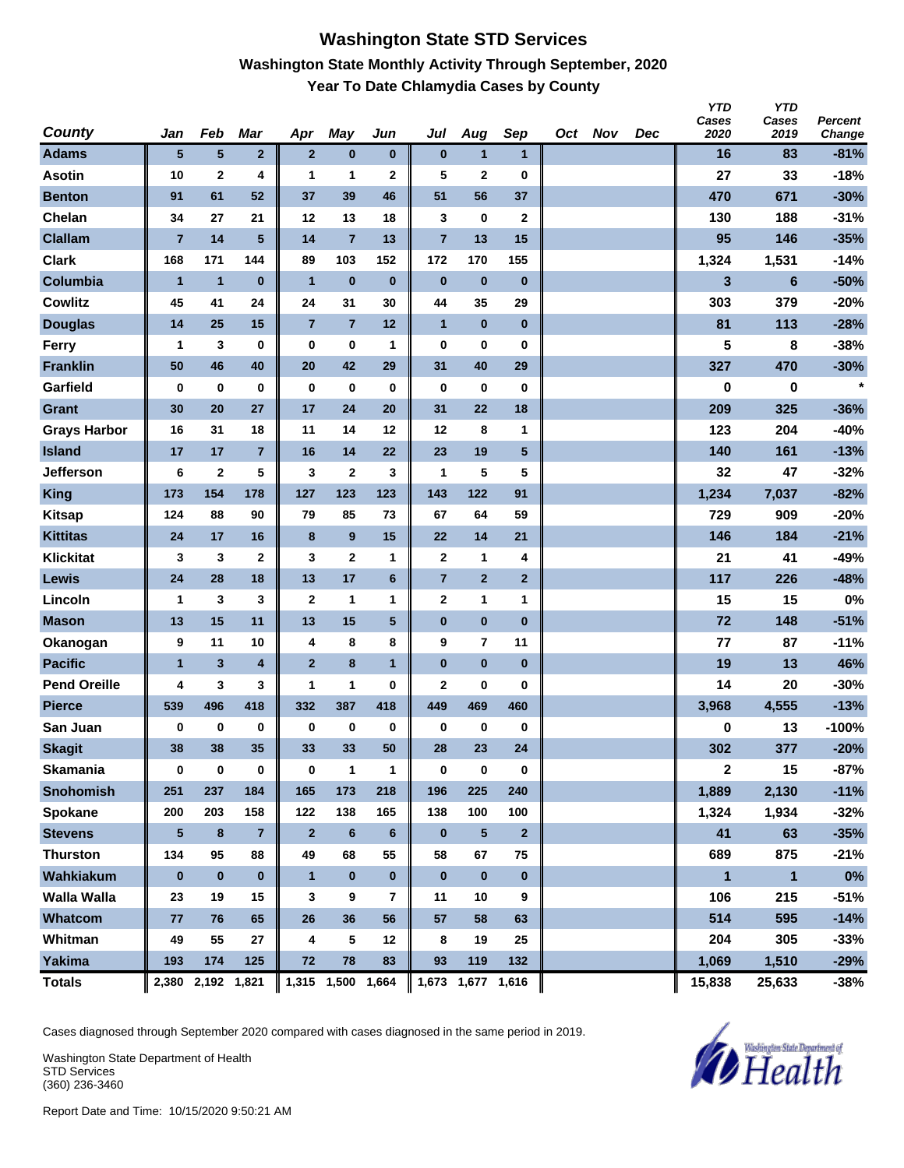### **Washington State STD Services Washington State Monthly Activity Through September, 2020 Year To Date Chlamydia Cases by County**

| County              | Jan            | Feb                     | <b>Mar</b>     | Apr            | <b>May</b>        | Jun          | Jul                     | Aug               | Sep             | Oct Nov | Dec | <b>YTD</b><br>Cases<br>2020 | <b>YTD</b><br>Cases<br>2019 | Percent<br>Change |
|---------------------|----------------|-------------------------|----------------|----------------|-------------------|--------------|-------------------------|-------------------|-----------------|---------|-----|-----------------------------|-----------------------------|-------------------|
| <b>Adams</b>        | 5              | $\sqrt{5}$              | $\overline{2}$ | $\mathbf{2}$   | $\bf{0}$          | $\pmb{0}$    | $\bf{0}$                | $\mathbf{1}$      | $\mathbf{1}$    |         |     | 16                          | 83                          | $-81%$            |
| <b>Asotin</b>       | 10             | $\mathbf 2$             | 4              | 1              | 1                 | $\mathbf 2$  | 5                       | $\mathbf 2$       | $\bf{0}$        |         |     | 27                          | 33                          | $-18%$            |
| <b>Benton</b>       | 91             | 61                      | 52             | 37             | 39                | 46           | 51                      | 56                | 37              |         |     | 470                         | 671                         | $-30%$            |
| Chelan              | 34             | 27                      | 21             | 12             | 13                | 18           | 3                       | 0                 | $\mathbf{2}$    |         |     | 130                         | 188                         | $-31%$            |
| <b>Clallam</b>      | $\overline{7}$ | 14                      | 5              | 14             | $\overline{7}$    | 13           | $\overline{7}$          | 13                | 15              |         |     | 95                          | 146                         | $-35%$            |
| <b>Clark</b>        | 168            | 171                     | 144            | 89             | 103               | 152          | 172                     | 170               | 155             |         |     | 1,324                       | 1,531                       | $-14%$            |
| Columbia            | $\overline{1}$ | $\mathbf{1}$            | $\bf{0}$       | $\mathbf{1}$   | $\pmb{0}$         | $\bf{0}$     | $\bf{0}$                | $\bf{0}$          | $\bf{0}$        |         |     | 3                           | $6\phantom{1}$              | $-50%$            |
| <b>Cowlitz</b>      | 45             | 41                      | 24             | 24             | 31                | 30           | 44                      | 35                | 29              |         |     | 303                         | 379                         | $-20%$            |
| <b>Douglas</b>      | 14             | 25                      | 15             | $\overline{7}$ | $\overline{7}$    | 12           | $\mathbf{1}$            | $\bf{0}$          | $\bf{0}$        |         |     | 81                          | 113                         | $-28%$            |
| <b>Ferry</b>        | 1              | 3                       | $\bf{0}$       | 0              | $\bf{0}$          | $\mathbf{1}$ | $\bf{0}$                | 0                 | $\bf{0}$        |         |     | 5                           | 8                           | $-38%$            |
| <b>Franklin</b>     | 50             | 46                      | 40             | 20             | 42                | 29           | 31                      | 40                | 29              |         |     | 327                         | 470                         | $-30%$            |
| Garfield            | 0              | 0                       | $\bf{0}$       | 0              | $\bf{0}$          | $\bf{0}$     | $\bf{0}$                | 0                 | $\bf{0}$        |         |     | 0                           | 0                           | $\star$           |
| <b>Grant</b>        | 30             | 20                      | 27             | 17             | 24                | 20           | 31                      | 22                | 18              |         |     | 209                         | 325                         | $-36%$            |
| <b>Grays Harbor</b> | 16             | 31                      | 18             | 11             | 14                | 12           | 12                      | 8                 | 1               |         |     | 123                         | 204                         | $-40%$            |
| <b>Island</b>       | 17             | 17                      | $\overline{7}$ | 16             | 14                | 22           | 23                      | 19                | $5\phantom{.0}$ |         |     | 140                         | 161                         | $-13%$            |
| <b>Jefferson</b>    | 6              | $\mathbf 2$             | 5              | 3              | $\mathbf{2}$      | 3            | 1                       | 5                 | 5               |         |     | 32                          | 47                          | $-32%$            |
| <b>King</b>         | 173            | 154                     | 178            | 127            | 123               | 123          | 143                     | 122               | 91              |         |     | 1,234                       | 7,037                       | $-82%$            |
| <b>Kitsap</b>       | 124            | 88                      | 90             | 79             | 85                | 73           | 67                      | 64                | 59              |         |     | 729                         | 909                         | $-20%$            |
| <b>Kittitas</b>     | 24             | 17                      | 16             | $\bf{8}$       | 9                 | 15           | 22                      | 14                | 21              |         |     | 146                         | 184                         | $-21%$            |
| <b>Klickitat</b>    | 3              | 3                       | $\mathbf 2$    | 3              | $\mathbf 2$       | 1            | $\mathbf{2}$            | 1                 | 4               |         |     | 21                          | 41                          | $-49%$            |
| <b>Lewis</b>        | 24             | 28                      | 18             | 13             | 17                | 6            | $\overline{\mathbf{7}}$ | $\mathbf{2}$      | $\mathbf{2}$    |         |     | 117                         | 226                         | $-48%$            |
| Lincoln             | 1              | 3                       | 3              | $\mathbf{2}$   | $\mathbf{1}$      | 1            | $\mathbf{2}$            | 1                 | 1               |         |     | 15                          | 15                          | 0%                |
| <b>Mason</b>        | 13             | 15                      | 11             | 13             | 15                | 5            | $\bf{0}$                | $\bf{0}$          | $\bf{0}$        |         |     | 72                          | 148                         | $-51%$            |
| Okanogan            | 9              | 11                      | 10             | 4              | 8                 | 8            | 9                       | $\overline{7}$    | 11              |         |     | 77                          | 87                          | $-11%$            |
| <b>Pacific</b>      | $\mathbf{1}$   | $\overline{\mathbf{3}}$ | 4              | $\overline{2}$ | 8                 | $\mathbf{1}$ | $\bf{0}$                | $\bf{0}$          | $\bf{0}$        |         |     | 19                          | 13                          | 46%               |
| <b>Pend Oreille</b> | 4              | 3                       | 3              | 1              | 1                 | 0            | $\overline{2}$          | 0                 | 0               |         |     | 14                          | 20                          | $-30%$            |
| <b>Pierce</b>       | 539            | 496                     | 418            | 332            | 387               | 418          | 449                     | 469               | 460             |         |     | 3,968                       | 4,555                       | $-13%$            |
| San Juan            | $\bf{0}$       | 0                       | 0              | 0              | $\bf{0}$          | $\bf{0}$     | 0                       | 0                 | $\bf{0}$        |         |     | 0                           | 13                          | $-100%$           |
| <b>Skagit</b>       | 38             | 38                      | 35             | 33             | 33                | 50           | 28                      | 23                | 24              |         |     | 302                         | 377                         | $-20%$            |
| <b>Skamania</b>     | 0              | $\bf{0}$                | $\pmb{0}$      | 0              | $\mathbf{1}$      | $\mathbf{1}$ | $\bf{0}$                | $\bf{0}$          | $\mathbf 0$     |         |     | $\mathbf{2}$                | 15                          | $-87%$            |
| <b>Snohomish</b>    | 251            | 237                     | 184            | 165            | 173               | 218          | 196                     | 225               | 240             |         |     | 1,889                       | 2,130                       | $-11%$            |
| Spokane             | 200            | 203                     | 158            | 122            | 138               | 165          | 138                     | 100               | 100             |         |     | 1,324                       | 1,934                       | $-32%$            |
| <b>Stevens</b>      | ${\bf 5}$      | $\boldsymbol{8}$        | $\overline{7}$ | $\mathbf{2}$   | $\bf 6$           | 6            | $\bf{0}$                | $\sqrt{5}$        | $\overline{2}$  |         |     | 41                          | 63                          | $-35%$            |
| <b>Thurston</b>     | 134            | 95                      | 88             | 49             | 68                | 55           | 58                      | 67                | 75              |         |     | 689                         | 875                         | $-21%$            |
| Wahkiakum           | $\bf{0}$       | $\pmb{0}$               | $\bf{0}$       | $\mathbf{1}$   | $\pmb{0}$         | $\bf{0}$     | $\bf{0}$                | $\pmb{0}$         | $\mathbf 0$     |         |     | $\blacksquare$              | $\mathbf{1}$                | $0\%$             |
| Walla Walla         | 23             | 19                      | 15             | 3              | 9                 | 7            | 11                      | 10                | 9               |         |     | 106                         | 215                         | $-51%$            |
| Whatcom             | 77             | 76                      | 65             | 26             | 36                | 56           | 57                      | 58                | 63              |         |     | 514                         | 595                         | $-14%$            |
| Whitman             | 49             | 55                      | 27             | 4              | 5                 | 12           | 8                       | 19                | 25              |         |     | 204                         | 305                         | $-33%$            |
| Yakima              | 193            | 174                     | 125            | 72             | 78                | 83           | 93                      | 119               | 132             |         |     | 1,069                       | 1,510                       | $-29%$            |
| <b>Totals</b>       |                | 2,380 2,192 1,821       |                |                | 1,315 1,500 1,664 |              |                         | 1,673 1,677 1,616 |                 |         |     | 15,838                      | 25,633                      | $-38%$            |

Cases diagnosed through September 2020 compared with cases diagnosed in the same period in 2019.

Washington State Department of Health STD Services (360) 236-3460

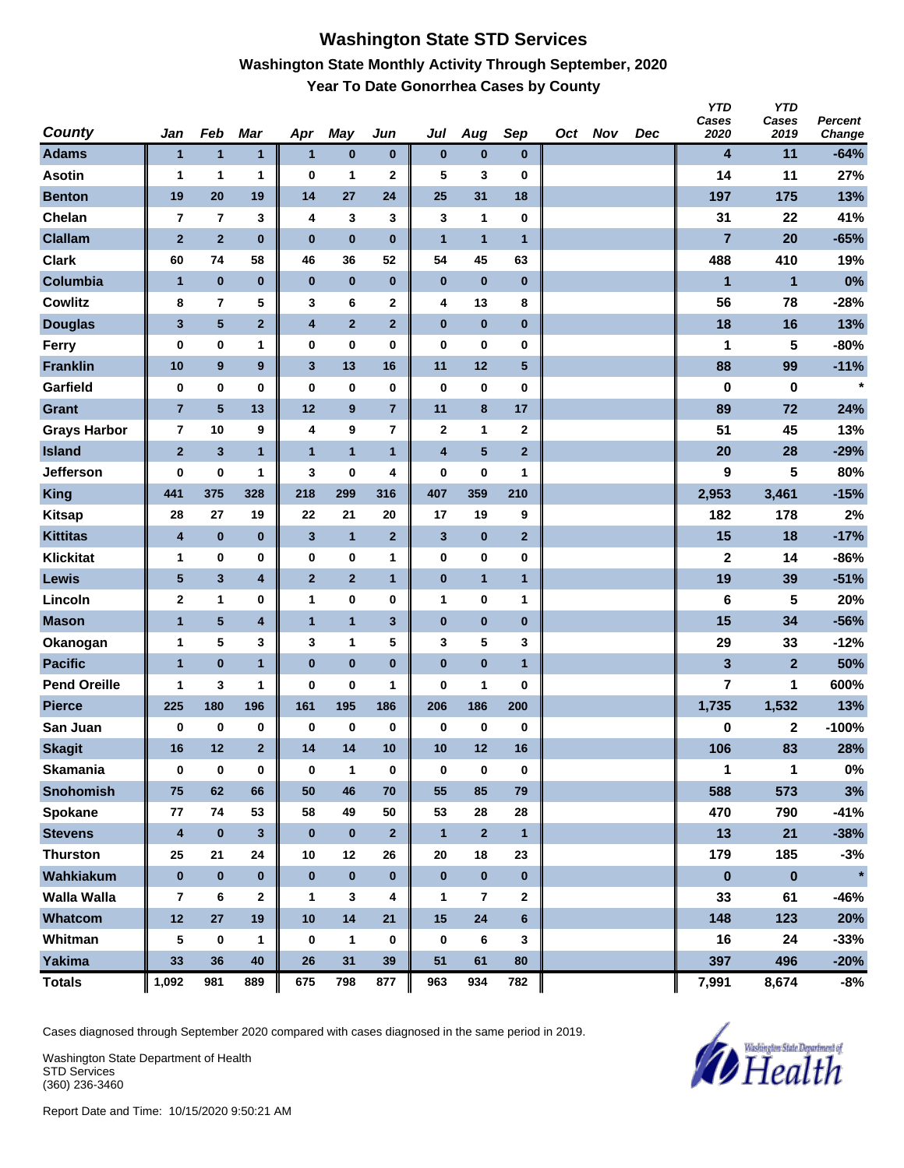## **Washington State STD Services Washington State Monthly Activity Through September, 2020 Year To Date Gonorrhea Cases by County**

| <b>County</b>       | Jan                     | Feb                     | Mar              | Apr          | <b>May</b>              | Jun                     | Jul                     | Aug            | Sep            | Oct Nov | Dec | <b>YTD</b><br>Cases<br>2020 | <b>YTD</b><br>Cases<br>2019 | Percent<br>Change |
|---------------------|-------------------------|-------------------------|------------------|--------------|-------------------------|-------------------------|-------------------------|----------------|----------------|---------|-----|-----------------------------|-----------------------------|-------------------|
| <b>Adams</b>        | $\mathbf{1}$            | $\mathbf{1}$            | 1                | $\mathbf{1}$ | $\pmb{0}$               | $\bf{0}$                | $\bf{0}$                | $\bf{0}$       | $\bf{0}$       |         |     | 4                           | 11                          | $-64%$            |
| <b>Asotin</b>       | 1                       | 1                       | 1                | $\bf{0}$     | 1                       | $\mathbf 2$             | 5                       | 3              | $\bf{0}$       |         |     | 14                          | 11                          | 27%               |
| <b>Benton</b>       | 19                      | 20                      | 19               | 14           | 27                      | 24                      | 25                      | 31             | 18             |         |     | 197                         | 175                         | 13%               |
| Chelan              | $\overline{7}$          | $\overline{7}$          | 3                | 4            | 3                       | 3                       | 3                       | 1              | $\bf{0}$       |         |     | 31                          | 22                          | 41%               |
| <b>Clallam</b>      | $\overline{2}$          | $\overline{2}$          | $\bf{0}$         | $\bf{0}$     | $\bf{0}$                | $\bf{0}$                | $\overline{1}$          | $\mathbf{1}$   | $\overline{1}$ |         |     | $\overline{7}$              | 20                          | $-65%$            |
| <b>Clark</b>        | 60                      | 74                      | 58               | 46           | 36                      | 52                      | 54                      | 45             | 63             |         |     | 488                         | 410                         | 19%               |
| Columbia            | $\overline{1}$          | $\pmb{0}$               | $\bf{0}$         | $\pmb{0}$    | $\bf{0}$                | $\bf{0}$                | $\pmb{0}$               | $\bf{0}$       | $\bf{0}$       |         |     | 1                           | $\mathbf{1}$                | 0%                |
| <b>Cowlitz</b>      | 8                       | $\overline{\mathbf{r}}$ | 5                | 3            | 6                       | $\mathbf 2$             | 4                       | 13             | 8              |         |     | 56                          | 78                          | $-28%$            |
| <b>Douglas</b>      | 3                       | $\overline{\mathbf{5}}$ | $\overline{2}$   | 4            | $\overline{2}$          | $\mathbf{2}$            | $\pmb{0}$               | $\bf{0}$       | $\bf{0}$       |         |     | 18                          | 16                          | 13%               |
| Ferry               | $\bf{0}$                | $\pmb{0}$               | 1                | $\pmb{0}$    | $\bf{0}$                | 0                       | $\bf{0}$                | 0              | 0              |         |     | 1                           | 5                           | $-80%$            |
| <b>Franklin</b>     | 10                      | $\boldsymbol{9}$        | $\boldsymbol{9}$ | $\mathbf{3}$ | 13                      | 16                      | 11                      | 12             | $\sqrt{5}$     |         |     | 88                          | 99                          | $-11%$            |
| Garfield            | 0                       | $\pmb{0}$               | 0                | $\bf{0}$     | 0                       | 0                       | $\bf{0}$                | 0              | $\bf{0}$       |         |     | 0                           | 0                           | $\star$           |
| <b>Grant</b>        | $\overline{7}$          | $\overline{\mathbf{5}}$ | 13               | 12           | $\boldsymbol{9}$        | $\overline{7}$          | 11                      | 8              | 17             |         |     | 89                          | 72                          | 24%               |
| <b>Grays Harbor</b> | $\overline{\mathbf{r}}$ | 10                      | 9                | 4            | 9                       | $\overline{\mathbf{r}}$ | $\mathbf 2$             | 1              | $\mathbf 2$    |         |     | 51                          | 45                          | 13%               |
| <b>Island</b>       | $\overline{2}$          | $\mathbf{3}$            | $\mathbf{1}$     | $\mathbf{1}$ | $\overline{\mathbf{1}}$ | $\mathbf{1}$            | $\overline{\mathbf{4}}$ | $\sqrt{5}$     | $\mathbf 2$    |         |     | 20                          | 28                          | $-29%$            |
| <b>Jefferson</b>    | 0                       | $\bf{0}$                | 1                | 3            | $\bf{0}$                | 4                       | 0                       | 0              | 1              |         |     | 9                           | 5                           | 80%               |
| <b>King</b>         | 441                     | 375                     | 328              | 218          | 299                     | 316                     | 407                     | 359            | 210            |         |     | 2,953                       | 3,461                       | $-15%$            |
| <b>Kitsap</b>       | 28                      | 27                      | 19               | 22           | 21                      | 20                      | 17                      | 19             | 9              |         |     | 182                         | 178                         | 2%                |
| <b>Kittitas</b>     | 4                       | $\pmb{0}$               | $\bf{0}$         | $\mathbf{3}$ | $\mathbf{1}$            | $\mathbf{2}$            | $\mathbf{3}$            | $\pmb{0}$      | $\overline{2}$ |         |     | 15                          | 18                          | $-17%$            |
| <b>Klickitat</b>    | 1                       | $\pmb{0}$               | 0                | 0            | $\bf{0}$                | 1                       | $\pmb{0}$               | 0              | 0              |         |     | $\mathbf 2$                 | 14                          | $-86%$            |
| <b>Lewis</b>        | $\sqrt{5}$              | 3                       | 4                | $\mathbf{2}$ | $\mathbf{2}$            | 1                       | $\pmb{0}$               | $\mathbf{1}$   | $\mathbf{1}$   |         |     | 19                          | 39                          | $-51%$            |
| Lincoln             | $\mathbf{2}$            | 1                       | 0                | 1            | $\pmb{0}$               | 0                       | 1                       | 0              | 1              |         |     | 6                           | 5                           | 20%               |
| <b>Mason</b>        | $\mathbf{1}$            | 5                       | 4                | $\mathbf{1}$ | $\overline{1}$          | $\mathbf{3}$            | $\pmb{0}$               | $\pmb{0}$      | $\bf{0}$       |         |     | 15                          | 34                          | $-56%$            |
| Okanogan            | 1                       | 5                       | 3                | 3            | 1                       | 5                       | 3                       | 5              | 3              |         |     | 29                          | 33                          | $-12%$            |
| <b>Pacific</b>      | $\mathbf{1}$            | $\pmb{0}$               | $\mathbf{1}$     | $\bf{0}$     | $\mathbf 0$             | $\bf{0}$                | $\bf{0}$                | $\bf{0}$       | $\overline{1}$ |         |     | 3                           | $\mathbf{2}$                | 50%               |
| <b>Pend Oreille</b> | 1                       | 3                       | 1                | 0            | $\bf{0}$                | 1                       | $\bf{0}$                | 1              | 0              |         |     | 7                           | 1                           | 600%              |
| <b>Pierce</b>       | 225                     | 180                     | 196              | 161          | 195                     | 186                     | 206                     | 186            | 200            |         |     | 1,735                       | 1,532                       | 13%               |
| San Juan            | 0                       | 0                       | 0                | 0            | 0                       | $\bf{0}$                | 0                       | 0              | $\bf{0}$       |         |     | 0                           | 2                           | $-100%$           |
| <b>Skagit</b>       | 16                      | 12                      | $\overline{2}$   | 14           | 14                      | 10                      | 10                      | 12             | 16             |         |     | 106                         | 83                          | 28%               |
| <b>Skamania</b>     | $\bf{0}$                | $\mathbf 0$             | $\bf{0}$         | $\bf{0}$     | $\mathbf{1}$            | $\pmb{0}$               | 0                       | $\pmb{0}$      | $\mathbf 0$    |         |     | 1                           | 1                           | $0\%$             |
| <b>Snohomish</b>    | 75                      | 62                      | 66               | 50           | 46                      | 70                      | 55                      | 85             | 79             |         |     | 588                         | 573                         | 3%                |
| Spokane             | 77                      | 74                      | 53               | 58           | 49                      | 50                      | 53                      | 28             | 28             |         |     | 470                         | 790                         | $-41%$            |
| <b>Stevens</b>      | $\overline{\mathbf{4}}$ | $\pmb{0}$               | $3\phantom{a}$   | $\bf{0}$     | $\bf{0}$                | $\mathbf{2}$            | $\mathbf{1}$            | $\overline{2}$ | $\mathbf{1}$   |         |     | 13                          | 21                          | $-38%$            |
| <b>Thurston</b>     | 25                      | 21                      | 24               | 10           | 12                      | 26                      | 20                      | 18             | 23             |         |     | 179                         | 185                         | $-3%$             |
| Wahkiakum           | $\bf{0}$                | $\pmb{0}$               | $\pmb{0}$        | $\mathbf 0$  | $\pmb{0}$               | $\bf{0}$                | $\bf{0}$                | $\pmb{0}$      | $\mathbf 0$    |         |     | $\pmb{0}$                   | $\pmb{0}$                   | $\star$           |
| <b>Walla Walla</b>  | 7                       | 6                       | $\mathbf{2}$     | 1            | 3                       | 4                       | 1                       | 7              | $\mathbf{2}$   |         |     | 33                          | 61                          | -46%              |
| Whatcom             | 12                      | ${\bf 27}$              | 19               | 10           | 14                      | 21                      | 15                      | 24             | $\bf 6$        |         |     | 148                         | 123                         | 20%               |
| Whitman             | 5                       | $\boldsymbol{0}$        | 1                | 0            | 1                       | $\bf{0}$                | 0                       | 6              | $\mathbf{3}$   |         |     | 16                          | 24                          | $-33%$            |
| Yakima              | 33                      | 36                      | 40               | 26           | 31                      | 39                      | 51                      | 61             | 80             |         |     | 397                         | 496                         | $-20%$            |
| <b>Totals</b>       | 1,092                   | 981                     | 889              | 675          | 798                     | 877                     | 963                     | 934            | 782            |         |     | 7,991                       | 8,674                       | $-8%$             |

Cases diagnosed through September 2020 compared with cases diagnosed in the same period in 2019.

Washington State Department of Health STD Services (360) 236-3460

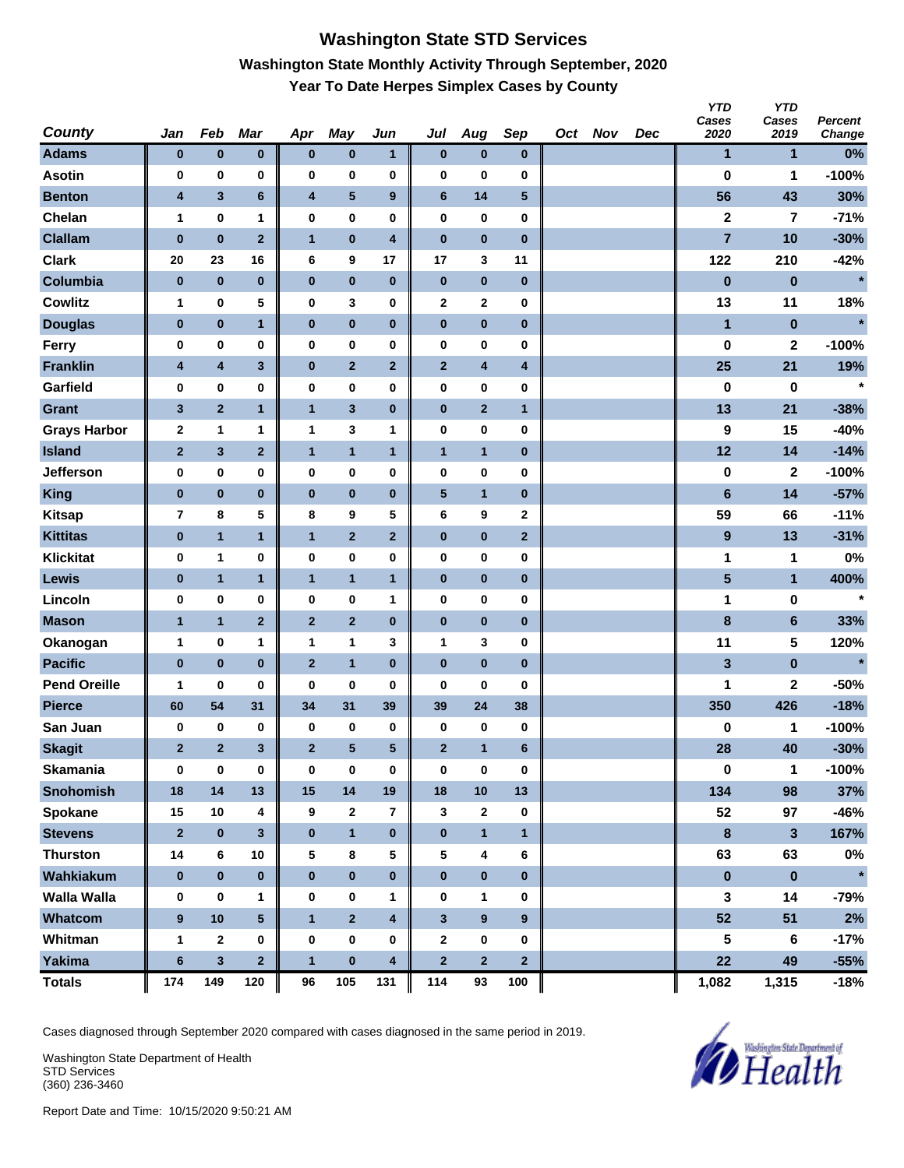# **Washington State STD Services Washington State Monthly Activity Through September, 2020 Year To Date Herpes Simplex Cases by County**

| <b>County</b>       | Jan            | Feb            | <b>Mar</b>              | Apr              | <b>May</b>              | Jun          | Jul          | Aug                     | Sep             | Oct Nov | Dec | <b>YTD</b><br>Cases<br>2020 | <b>YTD</b><br>Cases<br>2019 | Percent<br>Change |
|---------------------|----------------|----------------|-------------------------|------------------|-------------------------|--------------|--------------|-------------------------|-----------------|---------|-----|-----------------------------|-----------------------------|-------------------|
| <b>Adams</b>        | $\bf{0}$       | $\pmb{0}$      | $\pmb{0}$               | $\pmb{0}$        | $\pmb{0}$               | 1            | $\bf{0}$     | $\bf{0}$                | $\bf{0}$        |         |     | 1                           | 1                           | 0%                |
| <b>Asotin</b>       | 0              | $\pmb{0}$      | $\bf{0}$                | 0                | 0                       | 0            | 0            | 0                       | $\bf{0}$        |         |     | 0                           | 1                           | $-100%$           |
| <b>Benton</b>       | 4              | $\mathbf{3}$   | 6                       | 4                | ${\bf 5}$               | 9            | $\bf 6$      | 14                      | $\sqrt{5}$      |         |     | 56                          | 43                          | 30%               |
| Chelan              | 1              | $\pmb{0}$      | 1                       | $\pmb{0}$        | 0                       | 0            | $\pmb{0}$    | 0                       | $\bf{0}$        |         |     | $\mathbf 2$                 | 7                           | $-71%$            |
| <b>Clallam</b>      | $\bf{0}$       | $\pmb{0}$      | $\mathbf 2$             | $\mathbf{1}$     | $\pmb{0}$               | 4            | $\pmb{0}$    | $\pmb{0}$               | $\bf{0}$        |         |     | $\overline{7}$              | 10                          | $-30%$            |
| <b>Clark</b>        | 20             | 23             | 16                      | 6                | 9                       | 17           | 17           | 3                       | 11              |         |     | 122                         | 210                         | $-42%$            |
| Columbia            | $\pmb{0}$      | $\pmb{0}$      | $\bf{0}$                | $\pmb{0}$        | $\pmb{0}$               | $\pmb{0}$    | $\pmb{0}$    | $\pmb{0}$               | $\bf{0}$        |         |     | $\bf{0}$                    | $\bf{0}$                    | $\star$           |
| <b>Cowlitz</b>      | 1              | $\bf{0}$       | 5                       | 0                | 3                       | 0            | $\mathbf 2$  | 2                       | 0               |         |     | 13                          | 11                          | 18%               |
| <b>Douglas</b>      | $\bf{0}$       | $\pmb{0}$      | $\mathbf{1}$            | $\pmb{0}$        | $\pmb{0}$               | $\pmb{0}$    | $\pmb{0}$    | $\bf{0}$                | $\pmb{0}$       |         |     | 1                           | $\pmb{0}$                   |                   |
| Ferry               | 0              | 0              | 0                       | $\pmb{0}$        | 0                       | 0            | $\pmb{0}$    | 0                       | 0               |         |     | 0                           | $\mathbf 2$                 | $-100%$           |
| <b>Franklin</b>     | 4              | 4              | $\mathbf{3}$            | $\pmb{0}$        | $\mathbf{2}$            | $\mathbf{2}$ | $\mathbf{2}$ | 4                       | 4               |         |     | 25                          | 21                          | 19%               |
| Garfield            | 0              | 0              | $\bf{0}$                | 0                | 0                       | 0            | 0            | 0                       | $\bf{0}$        |         |     | 0                           | $\bf{0}$                    | $\star$           |
| <b>Grant</b>        | $\mathbf{3}$   | $\mathbf{2}$   | $\mathbf{1}$            | $\mathbf{1}$     | $\mathbf{3}$            | $\bf{0}$     | $\pmb{0}$    | $\overline{2}$          | $\overline{1}$  |         |     | 13                          | 21                          | $-38%$            |
| <b>Grays Harbor</b> | 2              | 1              | 1                       | 1                | 3                       | 1            | $\pmb{0}$    | 0                       | 0               |         |     | 9                           | 15                          | $-40%$            |
| <b>Island</b>       | $\mathbf{2}$   | 3              | $\mathbf 2$             | $\mathbf{1}$     | $\overline{\mathbf{1}}$ | $\mathbf{1}$ | $\mathbf{1}$ | $\mathbf{1}$            | $\bf{0}$        |         |     | 12                          | 14                          | $-14%$            |
| <b>Jefferson</b>    | 0              | 0              | 0                       | 0                | 0                       | 0            | 0            | 0                       | 0               |         |     | 0                           | $\mathbf{2}$                | $-100%$           |
| <b>King</b>         | $\pmb{0}$      | $\pmb{0}$      | $\pmb{0}$               | $\pmb{0}$        | $\pmb{0}$               | $\pmb{0}$    | ${\bf 5}$    | $\mathbf{1}$            | $\bf{0}$        |         |     | $6\phantom{1}$              | 14                          | $-57%$            |
| <b>Kitsap</b>       | $\overline{7}$ | 8              | 5                       | 8                | 9                       | 5            | 6            | 9                       | $\mathbf 2$     |         |     | 59                          | 66                          | $-11%$            |
| <b>Kittitas</b>     | $\bf{0}$       | $\mathbf{1}$   | $\mathbf{1}$            | $\mathbf{1}$     | $\mathbf 2$             | $\mathbf{2}$ | $\pmb{0}$    | $\bf{0}$                | $\mathbf{2}$    |         |     | $\boldsymbol{9}$            | 13                          | $-31%$            |
| <b>Klickitat</b>    | 0              | 1              | 0                       | $\pmb{0}$        | 0                       | 0            | $\pmb{0}$    | 0                       | 0               |         |     | 1                           | 1                           | 0%                |
| Lewis               | $\bf{0}$       | $\mathbf{1}$   | $\mathbf{1}$            | $\mathbf{1}$     | $\mathbf{1}$            | 1            | $\pmb{0}$    | $\bf{0}$                | $\pmb{0}$       |         |     | $\overline{\mathbf{5}}$     | $\mathbf{1}$                | 400%              |
| Lincoln             | 0              | 0              | $\bf{0}$                | 0                | 0                       | 1            | 0            | 0                       | $\bf{0}$        |         |     | 1                           | 0                           | $\star$           |
| <b>Mason</b>        | $\mathbf{1}$   | $\mathbf{1}$   | $\overline{\mathbf{2}}$ | $\mathbf{2}$     | $\mathbf 2$             | $\bf{0}$     | $\pmb{0}$    | $\bf{0}$                | $\pmb{0}$       |         |     | 8                           | $\bf 6$                     | 33%               |
| Okanogan            | 1              | 0              | 1                       | 1                | 1                       | 3            | 1            | 3                       | 0               |         |     | 11                          | 5                           | 120%              |
| <b>Pacific</b>      | $\pmb{0}$      | $\pmb{0}$      | $\bf{0}$                | $\overline{2}$   | $\overline{\mathbf{1}}$ | $\pmb{0}$    | $\pmb{0}$    | $\pmb{0}$               | $\bf{0}$        |         |     | 3                           | $\pmb{0}$                   | $\star$           |
| <b>Pend Oreille</b> | 1              | 0              | 0                       | 0                | 0                       | 0            | 0            | 0                       | 0               |         |     | 1                           | $\mathbf{2}$                | $-50%$            |
| <b>Pierce</b>       | 60             | 54             | 31                      | 34               | 31                      | 39           | 39           | 24                      | 38              |         |     | 350                         | 426                         | $-18%$            |
| San Juan            | 0              | 0              | 0                       | 0                | 0                       | $\bf{0}$     | 0            | 0                       | 0               |         |     | 0                           | 1                           | $-100%$           |
| <b>Skagit</b>       | $\mathbf{2}$   | $\overline{2}$ | 3                       | $\overline{2}$   | ${\bf 5}$               | 5            | $\mathbf{2}$ | $\mathbf{1}$            | $6\phantom{1}6$ |         |     | 28                          | 40                          | $-30%$            |
| <b>Skamania</b>     | $\bf{0}$       | $\mathbf 0$    | $\pmb{0}$               | $\bf{0}$         | 0                       | $\pmb{0}$    | $\pmb{0}$    | $\pmb{0}$               | 0               |         |     | $\pmb{0}$                   | 1                           | $-100%$           |
| <b>Snohomish</b>    | 18             | 14             | 13                      | 15               | 14                      | 19           | 18           | 10                      | 13              |         |     | 134                         | 98                          | 37%               |
| Spokane             | 15             | 10             | 4                       | 9                | $\mathbf 2$             | 7            | 3            | 2                       | $\bf{0}$        |         |     | 52                          | 97                          | -46%              |
| <b>Stevens</b>      | $\mathbf{2}$   | $\pmb{0}$      | $\mathbf{3}$            | $\bf{0}$         | $\mathbf{1}$            | $\pmb{0}$    | $\pmb{0}$    | $\mathbf{1}$            | $\mathbf{1}$    |         |     | $\pmb{8}$                   | $\mathbf{3}$                | 167%              |
| <b>Thurston</b>     | 14             | 6              | 10                      | 5                | 8                       | 5            | 5            | 4                       | 6               |         |     | 63                          | 63                          | $0\%$             |
| Wahkiakum           | $\bf{0}$       | $\pmb{0}$      | $\pmb{0}$               | $\pmb{0}$        | $\pmb{0}$               | $\pmb{0}$    | $\pmb{0}$    | $\pmb{0}$               | $\pmb{0}$       |         |     | $\pmb{0}$                   | $\pmb{0}$                   | $\star$           |
| <b>Walla Walla</b>  | 0              | 0              | 1                       | 0                | 0                       | 1            | 0            | 1                       | 0               |         |     | 3                           | 14                          | $-79%$            |
| <b>Whatcom</b>      | 9              | 10             | $5\phantom{.0}$         | $\mathbf{1}$     | $\overline{\mathbf{2}}$ | 4            | $\mathbf{3}$ | $\boldsymbol{9}$        | 9               |         |     | 52                          | 51                          | 2%                |
| Whitman             | $\mathbf{1}$   | $\mathbf{2}$   | $\bf{0}$                | $\boldsymbol{0}$ | 0                       | $\pmb{0}$    | $\mathbf{2}$ | 0                       | 0               |         |     | 5                           | 6                           | $-17%$            |
| <b>Yakima</b>       | $\bf 6$        | $\mathbf{3}$   | $\overline{\mathbf{2}}$ | $\mathbf{1}$     | $\pmb{0}$               | 4            | $\mathbf 2$  | $\overline{\mathbf{2}}$ | $\mathbf{2}$    |         |     | 22                          | 49                          | $-55%$            |
| <b>Totals</b>       | 174            | 149            | 120                     | 96               | 105                     | 131          | 114          | 93                      | 100             |         |     | 1,082                       | 1,315                       | $-18%$            |

Cases diagnosed through September 2020 compared with cases diagnosed in the same period in 2019.

Washington State Department of Health STD Services (360) 236-3460

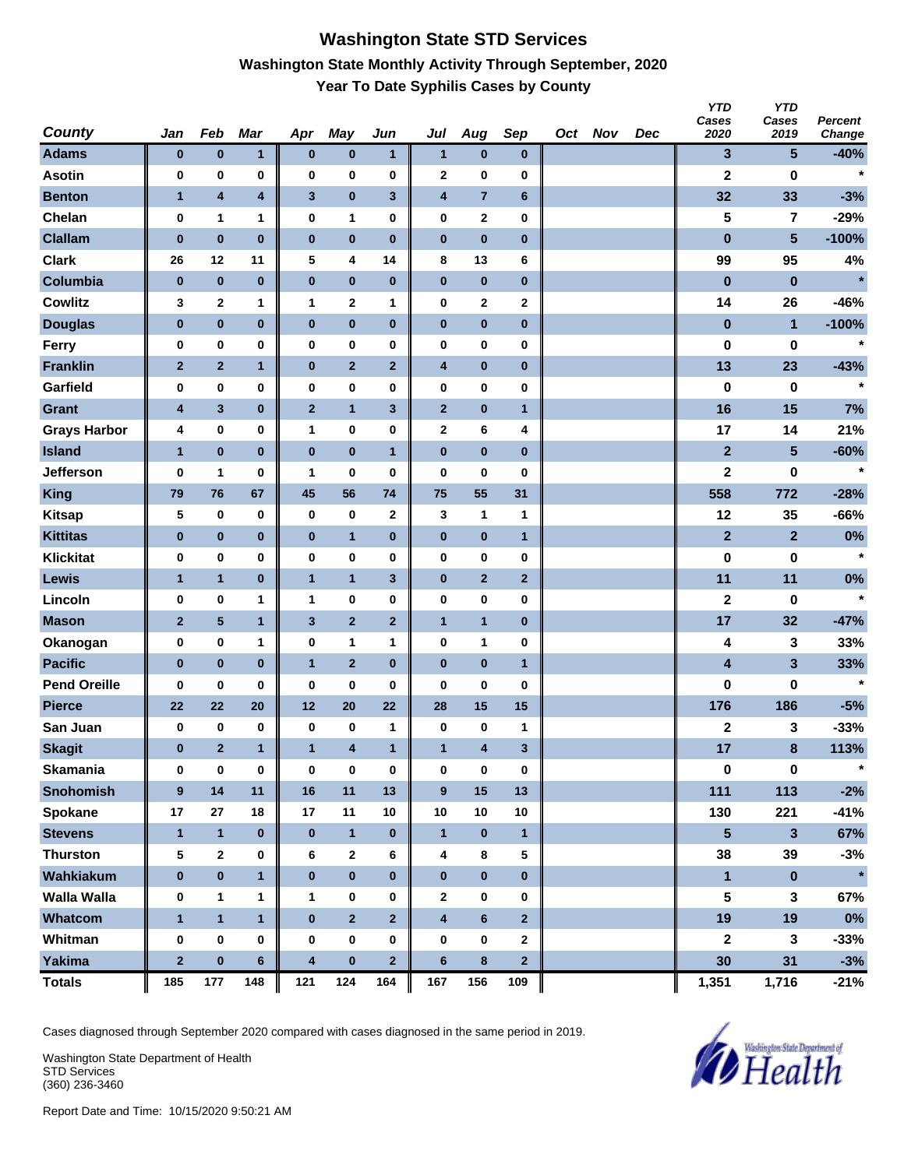### **Washington State STD Services Washington State Monthly Activity Through September, 2020 Year To Date Syphilis Cases by County**

| <b>County</b>       | Jan          | Feb              | Mar                     | Apr                     | <b>May</b>              | Jun                     | Jul                     | Aug            | Sep              | Oct Nov | Dec | <b>YTD</b><br>Cases<br>2020 | <b>YTD</b><br>Cases<br>2019 | Percent<br>Change |
|---------------------|--------------|------------------|-------------------------|-------------------------|-------------------------|-------------------------|-------------------------|----------------|------------------|---------|-----|-----------------------------|-----------------------------|-------------------|
| <b>Adams</b>        | $\bf{0}$     | $\pmb{0}$        | 1                       | $\bf{0}$                | $\pmb{0}$               | 1                       | $\mathbf{1}$            | $\pmb{0}$      | $\bf{0}$         |         |     | 3                           | $5\phantom{.0}$             | $-40%$            |
| <b>Asotin</b>       | 0            | 0                | 0                       | 0                       | $\bf{0}$                | 0                       | $\mathbf 2$             | 0              | $\bf{0}$         |         |     | 2                           | $\bf{0}$                    | $\star$           |
| <b>Benton</b>       | $\mathbf{1}$ | 4                | $\overline{\mathbf{4}}$ | 3                       | $\pmb{0}$               | 3                       | 4                       | $\overline{7}$ | $\boldsymbol{6}$ |         |     | 32                          | 33                          | $-3%$             |
| Chelan              | 0            | 1                | 1                       | 0                       | $\mathbf{1}$            | 0                       | 0                       | $\mathbf 2$    | 0                |         |     | 5                           | 7                           | $-29%$            |
| <b>Clallam</b>      | $\bf{0}$     | $\pmb{0}$        | $\bf{0}$                | $\pmb{0}$               | $\pmb{0}$               | $\pmb{0}$               | $\pmb{0}$               | $\pmb{0}$      | $\bf{0}$         |         |     | $\pmb{0}$                   | $5\phantom{.0}$             | $-100%$           |
| <b>Clark</b>        | 26           | 12               | 11                      | 5                       | 4                       | 14                      | 8                       | 13             | 6                |         |     | 99                          | 95                          | 4%                |
| Columbia            | $\pmb{0}$    | $\pmb{0}$        | $\pmb{0}$               | $\pmb{0}$               | $\pmb{0}$               | $\pmb{0}$               | $\pmb{0}$               | $\pmb{0}$      | $\bf{0}$         |         |     | $\pmb{0}$                   | $\bf{0}$                    | $\star$           |
| <b>Cowlitz</b>      | 3            | $\boldsymbol{2}$ | 1                       | 1                       | $\mathbf 2$             | 1                       | 0                       | 2              | $\mathbf 2$      |         |     | 14                          | 26                          | $-46%$            |
| <b>Douglas</b>      | $\bf{0}$     | $\pmb{0}$        | $\pmb{0}$               | $\bf{0}$                | $\pmb{0}$               | $\pmb{0}$               | $\pmb{0}$               | $\pmb{0}$      | $\bf{0}$         |         |     | $\pmb{0}$                   | $\mathbf{1}$                | $-100%$           |
| Ferry               | 0            | $\pmb{0}$        | 0                       | 0                       | $\bf{0}$                | 0                       | 0                       | 0              | $\bf{0}$         |         |     | 0                           | 0                           | $\star$           |
| <b>Franklin</b>     | $\mathbf{2}$ | $\mathbf{2}$     | $\mathbf{1}$            | $\pmb{0}$               | $\mathbf{2}$            | 2                       | $\overline{\mathbf{4}}$ | $\pmb{0}$      | $\pmb{0}$        |         |     | 13                          | 23                          | $-43%$            |
| Garfield            | 0            | $\pmb{0}$        | $\bf{0}$                | 0                       | $\pmb{0}$               | 0                       | 0                       | 0              | $\bf{0}$         |         |     | 0                           | $\bf{0}$                    | $\star$           |
| <b>Grant</b>        | 4            | 3                | $\bf{0}$                | $\mathbf{2}$            | $\overline{1}$          | $\mathbf{3}$            | $\mathbf{2}$            | $\pmb{0}$      | $\mathbf{1}$     |         |     | 16                          | 15                          | 7%                |
| <b>Grays Harbor</b> | 4            | $\pmb{0}$        | 0                       | 1                       | $\pmb{0}$               | 0                       | $\mathbf 2$             | 6              | 4                |         |     | 17                          | 14                          | 21%               |
| <b>Island</b>       | $\mathbf{1}$ | $\pmb{0}$        | $\bf{0}$                | $\pmb{0}$               | $\bf{0}$                | $\mathbf{1}$            | $\pmb{0}$               | $\pmb{0}$      | $\bf{0}$         |         |     | $\overline{2}$              | $5\phantom{.0}$             | $-60%$            |
| <b>Jefferson</b>    | 0            | 1                | 0                       | 1                       | 0                       | 0                       | 0                       | 0              | 0                |         |     | 2                           | 0                           | $\star$           |
| <b>King</b>         | 79           | 76               | 67                      | 45                      | 56                      | 74                      | 75                      | 55             | 31               |         |     | 558                         | 772                         | $-28%$            |
| <b>Kitsap</b>       | 5            | $\pmb{0}$        | 0                       | 0                       | 0                       | $\mathbf 2$             | 3                       | 1              | 1                |         |     | 12                          | 35                          | $-66%$            |
| <b>Kittitas</b>     | $\bf{0}$     | $\pmb{0}$        | $\pmb{0}$               | $\bf{0}$                | $\mathbf{1}$            | $\pmb{0}$               | $\pmb{0}$               | $\pmb{0}$      | $\mathbf{1}$     |         |     | $\mathbf{2}$                | $\mathbf{2}$                | 0%                |
| <b>Klickitat</b>    | 0            | $\pmb{0}$        | 0                       | 0                       | $\bf{0}$                | 0                       | $\pmb{0}$               | 0              | $\bf{0}$         |         |     | 0                           | 0                           | $\star$           |
| Lewis               | $\mathbf{1}$ | $\mathbf{1}$     | $\bf{0}$                | $\mathbf{1}$            | $\mathbf{1}$            | $\mathbf{3}$            | $\pmb{0}$               | $\overline{2}$ | $\mathbf{2}$     |         |     | 11                          | 11                          | 0%                |
| Lincoln             | 0            | $\pmb{0}$        | 1                       | 1                       | $\pmb{0}$               | 0                       | 0                       | 0              | $\bf{0}$         |         |     | 2                           | $\bf{0}$                    | $\star$           |
| <b>Mason</b>        | $\mathbf{2}$ | 5                | $\mathbf{1}$            | 3                       | $\mathbf 2$             | $\mathbf{2}$            | $\mathbf{1}$            | $\mathbf{1}$   | $\pmb{0}$        |         |     | 17                          | 32                          | $-47%$            |
| Okanogan            | 0            | $\pmb{0}$        | 1                       | 0                       | $\mathbf{1}$            | 1                       | 0                       | 1              | $\bf{0}$         |         |     | 4                           | 3                           | 33%               |
| <b>Pacific</b>      | $\pmb{0}$    | $\pmb{0}$        | $\bf{0}$                | $\mathbf{1}$            | $\overline{\mathbf{2}}$ | $\bf{0}$                | $\pmb{0}$               | $\pmb{0}$      | $\mathbf{1}$     |         |     | 4                           | 3                           | 33%               |
| <b>Pend Oreille</b> | 0            | 0                | 0                       | 0                       | 0                       | 0                       | 0                       | 0              | 0                |         |     | 0                           | 0                           | $\star$           |
| <b>Pierce</b>       | 22           | 22               | 20                      | 12                      | 20                      | 22                      | 28                      | 15             | 15               |         |     | 176                         | 186                         | $-5%$             |
| San Juan            | 0            | $\pmb{0}$        | 0                       | 0                       | 0                       | 1                       | 0                       | 0              | $\mathbf{1}$     |         |     | 2                           | 3                           | $-33%$            |
| <b>Skagit</b>       | $\bf{0}$     | $\overline{2}$   | 1                       | $\mathbf{1}$            | 4                       | $\mathbf{1}$            | $\mathbf{1}$            | 4              | 3                |         |     | 17                          | 8                           | 113%              |
| <b>Skamania</b>     | 0            | $\bf{0}$         | $\pmb{0}$               | $\bf{0}$                | $\pmb{0}$               | $\pmb{0}$               | 0                       | $\pmb{0}$      | $\bf{0}$         |         |     | 0                           | $\mathbf 0$                 | $\star$           |
| <b>Snohomish</b>    | 9            | 14               | 11                      | 16                      | 11                      | 13                      | $\boldsymbol{9}$        | 15             | 13               |         |     | 111                         | 113                         | $-2%$             |
| Spokane             | 17           | 27               | 18                      | 17                      | 11                      | 10                      | 10                      | 10             | 10               |         |     | 130                         | 221                         | $-41%$            |
| <b>Stevens</b>      | $\mathbf{1}$ | $\mathbf{1}$     | $\bf{0}$                | $\bf{0}$                | $\mathbf{1}$            | $\bf{0}$                | $\mathbf{1}$            | $\bf{0}$       | $\mathbf{1}$     |         |     | $\overline{\mathbf{5}}$     | $\mathbf{3}$                | 67%               |
| <b>Thurston</b>     | 5            | $\mathbf 2$      | $\bf{0}$                | 6                       | $\mathbf{2}$            | 6                       | 4                       | 8              | 5                |         |     | 38                          | 39                          | $-3%$             |
| Wahkiakum           | $\pmb{0}$    | $\pmb{0}$        | $\mathbf{1}$            | $\bf{0}$                | $\pmb{0}$               | $\bf{0}$                | $\bf{0}$                | $\mathbf 0$    | $\mathbf 0$      |         |     | $\blacksquare$              | $\pmb{0}$                   | $\star$           |
| <b>Walla Walla</b>  | 0            | $\mathbf{1}$     | 1                       | 1                       | $\pmb{0}$               | 0                       | $\mathbf{2}$            | 0              | 0                |         |     | 5                           | $\mathbf{3}$                | 67%               |
| Whatcom             | $\mathbf{1}$ | $\mathbf{1}$     | $\mathbf{1}$            | $\bf{0}$                | $\overline{\mathbf{2}}$ | $\mathbf 2$             | $\overline{\mathbf{4}}$ | $6\phantom{a}$ | $\overline{2}$   |         |     | 19                          | 19                          | $0\%$             |
| Whitman             | 0            | $\pmb{0}$        | $\bf{0}$                | $\bf{0}$                | 0                       | 0                       | $\bf{0}$                | 0              | $\mathbf{2}$     |         |     | $\mathbf 2$                 | 3                           | $-33%$            |
| <b>Yakima</b>       | $\mathbf 2$  | $\pmb{0}$        | $6\phantom{.}$          | $\overline{\mathbf{4}}$ | $\pmb{0}$               | $\overline{\mathbf{2}}$ | $\bf 6$                 | 8              | 2 <sup>2</sup>   |         |     | 30                          | 31                          | $-3%$             |
| <b>Totals</b>       | 185          | 177              | 148                     | 121                     | 124                     | 164                     | 167                     | 156            | 109              |         |     | 1,351                       | 1,716                       | $-21%$            |

Cases diagnosed through September 2020 compared with cases diagnosed in the same period in 2019.

Washington State Department of Health STD Services (360) 236-3460

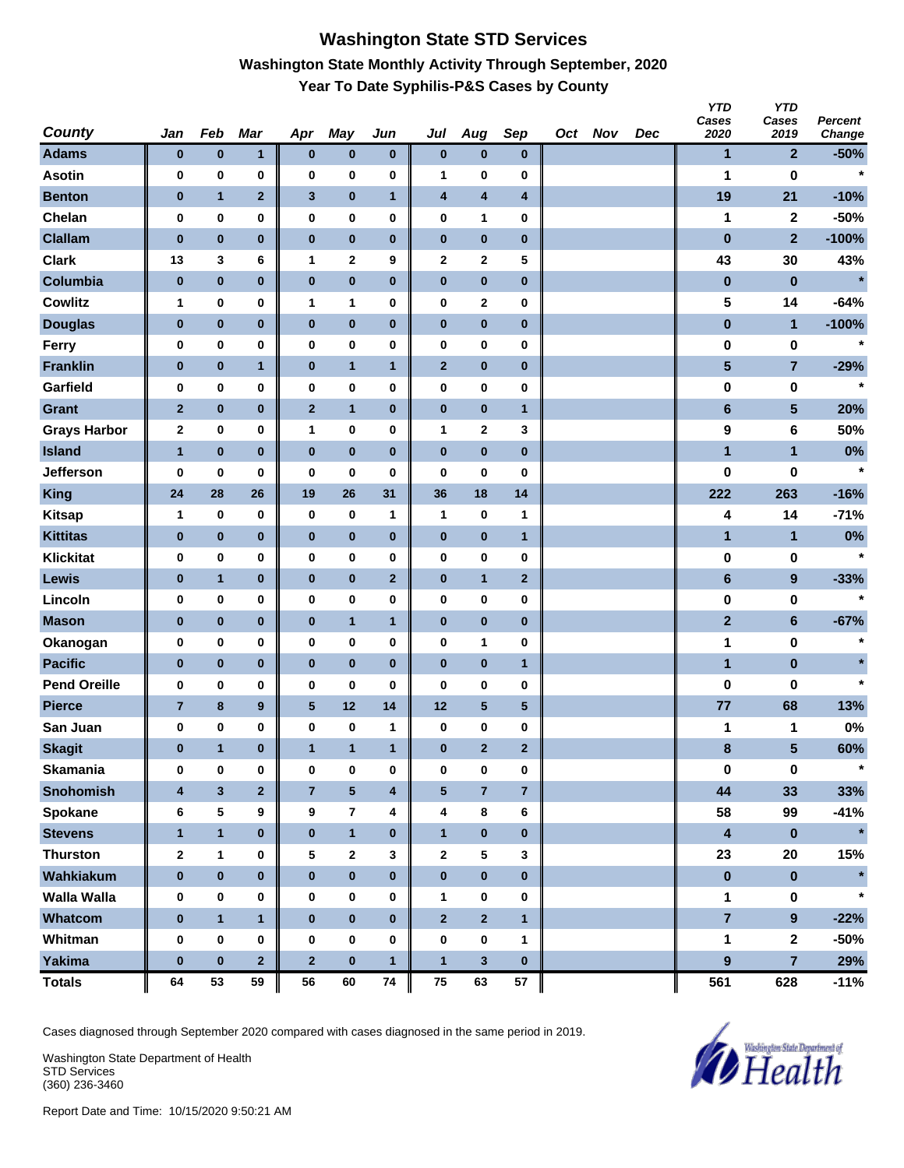# **Washington State STD Services Washington State Monthly Activity Through September, 2020 Year To Date Syphilis-P&S Cases by County**

| <b>County</b>       | Jan                     | Feb          | <b>Mar</b>       | Apr              | <b>May</b>              | Jun          | Jul            | Aug            | Sep            | Oct Nov | Dec | <b>YTD</b><br>Cases<br>2020 | <b>YTD</b><br>Cases<br>2019 | Percent<br>Change |
|---------------------|-------------------------|--------------|------------------|------------------|-------------------------|--------------|----------------|----------------|----------------|---------|-----|-----------------------------|-----------------------------|-------------------|
| <b>Adams</b>        | $\bf{0}$                | $\pmb{0}$    | 1                | $\pmb{0}$        | $\bf{0}$                | $\bf{0}$     | $\bf{0}$       | $\bf{0}$       | $\bf{0}$       |         |     | 1                           | $\mathbf{2}$                | $-50%$            |
| <b>Asotin</b>       | 0                       | $\pmb{0}$    | 0                | 0                | 0                       | 0            | 1              | 0              | $\bf{0}$       |         |     | 1                           | $\bf{0}$                    | $\star$           |
| <b>Benton</b>       | $\bf{0}$                | $\mathbf{1}$ | $\mathbf{2}$     | $\mathbf{3}$     | $\pmb{0}$               | $\mathbf{1}$ | 4              | 4              | 4              |         |     | 19                          | 21                          | $-10%$            |
| Chelan              | 0                       | $\pmb{0}$    | 0                | $\pmb{0}$        | 0                       | 0            | $\pmb{0}$      | 1              | 0              |         |     | 1                           | $\mathbf 2$                 | $-50%$            |
| <b>Clallam</b>      | $\bf{0}$                | $\pmb{0}$    | $\bf{0}$         | $\pmb{0}$        | $\pmb{0}$               | $\pmb{0}$    | $\pmb{0}$      | $\pmb{0}$      | $\bf{0}$       |         |     | $\pmb{0}$                   | $\mathbf{2}$                | $-100%$           |
| <b>Clark</b>        | 13                      | 3            | 6                | 1                | 2                       | 9            | 2              | 2              | 5              |         |     | 43                          | 30                          | 43%               |
| Columbia            | $\bf{0}$                | $\pmb{0}$    | $\pmb{0}$        | $\pmb{0}$        | $\pmb{0}$               | $\pmb{0}$    | $\pmb{0}$      | $\pmb{0}$      | $\bf{0}$       |         |     | $\pmb{0}$                   | $\pmb{0}$                   | $\star$           |
| <b>Cowlitz</b>      | 1                       | $\pmb{0}$    | 0                | $\mathbf{1}$     | 1                       | 0            | $\pmb{0}$      | 2              | 0              |         |     | 5                           | 14                          | $-64%$            |
| <b>Douglas</b>      | $\bf{0}$                | $\pmb{0}$    | $\pmb{0}$        | $\pmb{0}$        | $\pmb{0}$               | $\pmb{0}$    | $\pmb{0}$      | $\bf{0}$       | $\pmb{0}$      |         |     | $\pmb{0}$                   | $\mathbf{1}$                | $-100%$           |
| Ferry               | 0                       | 0            | 0                | $\pmb{0}$        | 0                       | 0            | 0              | 0              | 0              |         |     | 0                           | 0                           | $\star$           |
| <b>Franklin</b>     | $\bf{0}$                | $\pmb{0}$    | $\mathbf{1}$     | $\pmb{0}$        | $\mathbf{1}$            | 1            | $\mathbf{2}$   | $\bf{0}$       | $\pmb{0}$      |         |     | $\overline{\mathbf{5}}$     | $\overline{7}$              | $-29%$            |
| Garfield            | 0                       | $\pmb{0}$    | 0                | 0                | 0                       | 0            | 0              | 0              | $\bf{0}$       |         |     | 0                           | 0                           | $\star$           |
| <b>Grant</b>        | $\mathbf{2}$            | $\pmb{0}$    | $\pmb{0}$        | $\mathbf{2}$     | $\mathbf{1}$            | $\bf{0}$     | $\pmb{0}$      | $\bf{0}$       | $\mathbf{1}$   |         |     | $6\phantom{1}$              | 5                           | 20%               |
| <b>Grays Harbor</b> | 2                       | $\pmb{0}$    | 0                | 1                | 0                       | 0            | 1              | 2              | 3              |         |     | 9                           | 6                           | 50%               |
| <b>Island</b>       | $\mathbf{1}$            | $\pmb{0}$    | $\bf{0}$         | $\pmb{0}$        | $\pmb{0}$               | $\pmb{0}$    | $\pmb{0}$      | $\pmb{0}$      | $\bf{0}$       |         |     | 1                           | $\mathbf{1}$                | $0\%$             |
| <b>Jefferson</b>    | 0                       | 0            | 0                | 0                | 0                       | 0            | 0              | 0              | 0              |         |     | 0                           | 0                           | $\star$           |
| <b>King</b>         | 24                      | 28           | 26               | 19               | 26                      | 31           | 36             | 18             | 14             |         |     | 222                         | 263                         | $-16%$            |
| <b>Kitsap</b>       | 1                       | $\pmb{0}$    | 0                | 0                | 0                       | 1            | 1              | 0              | 1              |         |     | 4                           | 14                          | $-71%$            |
| <b>Kittitas</b>     | $\bf{0}$                | $\bf{0}$     | $\pmb{0}$        | $\bf{0}$         | $\pmb{0}$               | $\pmb{0}$    | $\pmb{0}$      | $\bf{0}$       | $\mathbf{1}$   |         |     | $\mathbf{1}$                | 1                           | 0%                |
| <b>Klickitat</b>    | 0                       | 0            | 0                | $\pmb{0}$        | 0                       | 0            | $\pmb{0}$      | 0              | 0              |         |     | 0                           | 0                           | $\star$           |
| Lewis               | $\bf{0}$                | $\mathbf{1}$ | $\pmb{0}$        | $\bf{0}$         | $\pmb{0}$               | $\mathbf{2}$ | $\pmb{0}$      | $\mathbf{1}$   | $\mathbf{2}$   |         |     | $6\phantom{1}$              | 9                           | $-33%$            |
| Lincoln             | 0                       | $\pmb{0}$    | 0                | 0                | 0                       | 0            | $\pmb{0}$      | 0              | $\bf{0}$       |         |     | 0                           | $\pmb{0}$                   | $\star$           |
| <b>Mason</b>        | $\bf{0}$                | $\pmb{0}$    | $\pmb{0}$        | $\pmb{0}$        | $\mathbf{1}$            | $\mathbf{1}$ | $\pmb{0}$      | $\bf{0}$       | $\pmb{0}$      |         |     | $\overline{\mathbf{2}}$     | $\bf 6$                     | $-67%$            |
| Okanogan            | 0                       | $\pmb{0}$    | $\bf{0}$         | 0                | 0                       | 0            | 0              | 1              | 0              |         |     | 1                           | 0                           | $\star$           |
| <b>Pacific</b>      | $\pmb{0}$               | $\pmb{0}$    | $\bf{0}$         | $\pmb{0}$        | $\bf{0}$                | $\pmb{0}$    | $\pmb{0}$      | $\pmb{0}$      | $\overline{1}$ |         |     | $\blacksquare$              | $\pmb{0}$                   | $\star$           |
| <b>Pend Oreille</b> | 0                       | 0            | 0                | 0                | 0                       | 0            | 0              | 0              | 0              |         |     | 0                           | 0                           | $\star$           |
| <b>Pierce</b>       | $\overline{7}$          | 8            | $\boldsymbol{9}$ | ${\bf 5}$        | 12                      | 14           | 12             | $\sqrt{5}$     | 5              |         |     | 77                          | 68                          | 13%               |
| San Juan            | 0                       | 0            | 0                | 0                | 0                       | $\mathbf{1}$ | 0              | 0              | 0              |         |     | 1                           | 1                           | 0%                |
| <b>Skagit</b>       | $\bf{0}$                | $\mathbf{1}$ | $\bf{0}$         | $\mathbf{1}$     | $\mathbf{1}$            | $\mathbf{1}$ | $\bf{0}$       | $\overline{2}$ | $\mathbf{2}$   |         |     | 8                           | 5                           | 60%               |
| <b>Skamania</b>     | 0                       | 0            | $\pmb{0}$        | $\bf{0}$         | 0                       | 0            | $\bf{0}$       | 0              | 0              |         |     | $\pmb{0}$                   | $\mathbf 0$                 | $\star$           |
| <b>Snohomish</b>    | $\overline{\mathbf{4}}$ | $\mathbf{3}$ | $\overline{2}$   | $\overline{7}$   | $\overline{\mathbf{5}}$ | 4            | $\sqrt{5}$     | $\overline{7}$ | $\overline{7}$ |         |     | 44                          | 33                          | 33%               |
| Spokane             | 6                       | 5            | 9                | 9                | $\overline{7}$          | 4            | 4              | 8              | 6              |         |     | 58                          | 99                          | $-41%$            |
| <b>Stevens</b>      | $\mathbf{1}$            | $\mathbf{1}$ | $\pmb{0}$        | $\bf{0}$         | $\mathbf{1}$            | $\pmb{0}$    | $\mathbf{1}$   | $\pmb{0}$      | $\bf{0}$       |         |     | $\overline{\mathbf{4}}$     | $\pmb{0}$                   | $\star$           |
| <b>Thurston</b>     | $\bf{2}$                | 1            | 0                | 5                | $\mathbf 2$             | 3            | $\mathbf{2}$   | 5              | 3              |         |     | 23                          | 20                          | 15%               |
| Wahkiakum           | $\pmb{0}$               | $\mathbf 0$  | $\bf{0}$         | $\pmb{0}$        | $\pmb{0}$               | $\pmb{0}$    | $\pmb{0}$      | $\pmb{0}$      | $\pmb{0}$      |         |     | $\pmb{0}$                   | $\pmb{0}$                   |                   |
| <b>Walla Walla</b>  | 0                       | 0            | 0                | 0                | 0                       | 0            | $\mathbf{1}$   | 0              | 0              |         |     | 1                           | $\pmb{0}$                   | $\star$           |
| Whatcom             | $\bf{0}$                | $\mathbf{1}$ | $\mathbf{1}$     | $\bf{0}$         | $\pmb{0}$               | $\pmb{0}$    | $\overline{2}$ | $\overline{2}$ | $\mathbf{1}$   |         |     | $\overline{7}$              | $\overline{9}$              | $-22%$            |
| Whitman             | $\pmb{0}$               | $\pmb{0}$    | $\bf{0}$         | $\boldsymbol{0}$ | 0                       | $\pmb{0}$    | $\pmb{0}$      | 0              | 1              |         |     | 1                           | $\mathbf{2}$                | $-50%$            |
| <b>Yakima</b>       | $\pmb{0}$               | $\pmb{0}$    | $\overline{2}$   | $\mathbf{2}$     | $\pmb{0}$               | $\mathbf{1}$ | $\mathbf{1}$   | $\mathbf{3}$   | $\bf{0}$       |         |     | 9                           | $\overline{7}$              | 29%               |
| <b>Totals</b>       | 64                      | 53           | 59               | 56               | 60                      | 74           | 75             | 63             | 57             |         |     | 561                         | 628                         | $-11%$            |

Cases diagnosed through September 2020 compared with cases diagnosed in the same period in 2019.

Washington State Department of Health STD Services (360) 236-3460

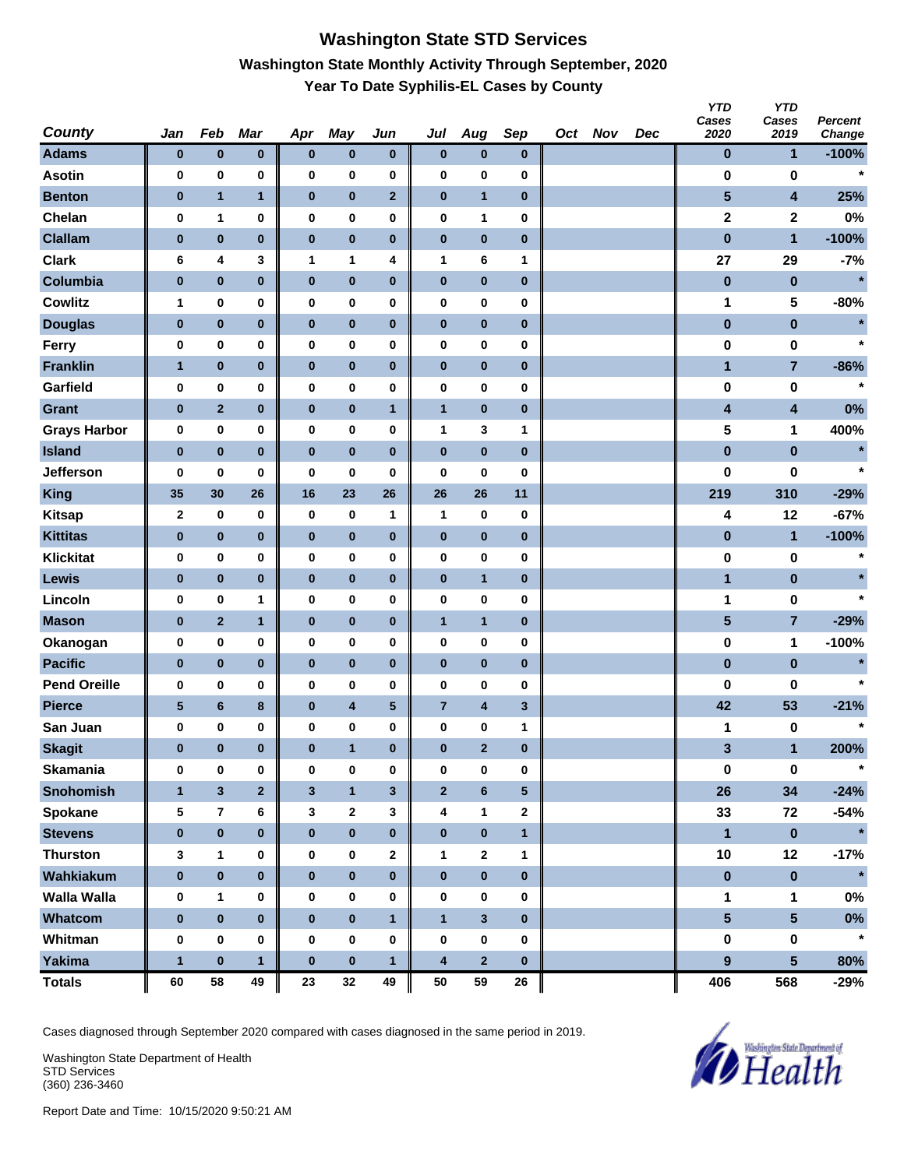# **Washington State STD Services Washington State Monthly Activity Through September, 2020 Year To Date Syphilis-EL Cases by County**

| <b>County</b>       | Jan          | Feb            | <b>Mar</b>     | Apr              | <b>May</b>              | Jun          | Jul                     | Aug                     | Sep                     | Oct Nov | Dec | <b>YTD</b><br>Cases<br>2020 | <b>YTD</b><br>Cases<br>2019 | Percent<br>Change |
|---------------------|--------------|----------------|----------------|------------------|-------------------------|--------------|-------------------------|-------------------------|-------------------------|---------|-----|-----------------------------|-----------------------------|-------------------|
| <b>Adams</b>        | $\bf{0}$     | $\pmb{0}$      | $\pmb{0}$      | $\pmb{0}$        | $\bf{0}$                | $\bf{0}$     | $\bf{0}$                | $\bf{0}$                | $\bf{0}$                |         |     | $\bf{0}$                    | 1                           | $-100%$           |
| <b>Asotin</b>       | 0            | $\pmb{0}$      | 0              | 0                | 0                       | 0            | $\pmb{0}$               | 0                       | $\bf{0}$                |         |     | 0                           | 0                           | $\star$           |
| <b>Benton</b>       | $\bf{0}$     | $\mathbf{1}$   | $\mathbf{1}$   | $\pmb{0}$        | $\pmb{0}$               | $\mathbf{2}$ | $\pmb{0}$               | $\mathbf{1}$            | $\pmb{0}$               |         |     | $\overline{\mathbf{5}}$     | $\overline{\mathbf{4}}$     | 25%               |
| Chelan              | 0            | 1              | 0              | 0                | 0                       | 0            | $\pmb{0}$               | 1                       | 0                       |         |     | $\overline{\mathbf{2}}$     | $\mathbf 2$                 | 0%                |
| <b>Clallam</b>      | $\pmb{0}$    | $\pmb{0}$      | $\bf{0}$       | $\pmb{0}$        | $\pmb{0}$               | $\pmb{0}$    | $\pmb{0}$               | $\pmb{0}$               | $\bf{0}$                |         |     | $\bf{0}$                    | $\mathbf{1}$                | $-100%$           |
| <b>Clark</b>        | 6            | 4              | 3              | 1                | 1                       | 4            | 1                       | 6                       | 1                       |         |     | 27                          | 29                          | $-7%$             |
| Columbia            | $\pmb{0}$    | $\pmb{0}$      | $\pmb{0}$      | $\pmb{0}$        | $\pmb{0}$               | $\pmb{0}$    | $\pmb{0}$               | $\pmb{0}$               | $\bf{0}$                |         |     | $\pmb{0}$                   | $\pmb{0}$                   | $\star$           |
| <b>Cowlitz</b>      | 1            | $\bf{0}$       | 0              | 0                | 0                       | 0            | $\pmb{0}$               | 0                       | 0                       |         |     | 1                           | 5                           | $-80%$            |
| <b>Douglas</b>      | $\bf{0}$     | $\pmb{0}$      | $\pmb{0}$      | $\bf{0}$         | $\pmb{0}$               | $\pmb{0}$    | $\pmb{0}$               | $\bf{0}$                | $\pmb{0}$               |         |     | $\pmb{0}$                   | $\pmb{0}$                   |                   |
| Ferry               | 0            | 0              | 0              | $\pmb{0}$        | 0                       | 0            | $\pmb{0}$               | 0                       | 0                       |         |     | 0                           | 0                           | $\star$           |
| <b>Franklin</b>     | $\mathbf{1}$ | $\pmb{0}$      | $\pmb{0}$      | $\pmb{0}$        | $\pmb{0}$               | 0            | $\pmb{0}$               | $\bf{0}$                | $\pmb{0}$               |         |     | $\mathbf{1}$                | $\overline{7}$              | $-86%$            |
| Garfield            | 0            | 0              | 0              | 0                | 0                       | 0            | $\pmb{0}$               | 0                       | $\bf{0}$                |         |     | $\bf{0}$                    | 0                           | $\star$           |
| <b>Grant</b>        | $\bf{0}$     | $\mathbf{2}$   | $\pmb{0}$      | $\pmb{0}$        | $\pmb{0}$               | $\mathbf{1}$ | $\mathbf{1}$            | $\bf{0}$                | $\pmb{0}$               |         |     | 4                           | $\overline{\mathbf{4}}$     | 0%                |
| <b>Grays Harbor</b> | 0            | $\pmb{0}$      | 0              | 0                | 0                       | 0            | 1                       | 3                       | 1                       |         |     | 5                           | 1                           | 400%              |
| <b>Island</b>       | $\pmb{0}$    | $\pmb{0}$      | $\bf{0}$       | $\pmb{0}$        | $\pmb{0}$               | $\pmb{0}$    | $\pmb{0}$               | $\pmb{0}$               | $\bf{0}$                |         |     | $\pmb{0}$                   | $\pmb{0}$                   | $\star$           |
| <b>Jefferson</b>    | 0            | 0              | 0              | 0                | 0                       | 0            | 0                       | 0                       | 0                       |         |     | 0                           | 0                           | $\star$           |
| <b>King</b>         | 35           | 30             | 26             | 16               | 23                      | 26           | 26                      | 26                      | 11                      |         |     | 219                         | 310                         | $-29%$            |
| <b>Kitsap</b>       | 2            | $\pmb{0}$      | 0              | 0                | 0                       | 1            | 1                       | 0                       | 0                       |         |     | 4                           | 12                          | $-67%$            |
| <b>Kittitas</b>     | $\bf{0}$     | $\bf{0}$       | $\pmb{0}$      | $\bf{0}$         | $\pmb{0}$               | $\pmb{0}$    | $\pmb{0}$               | $\bf{0}$                | $\pmb{0}$               |         |     | $\pmb{0}$                   | $\mathbf{1}$                | $-100%$           |
| <b>Klickitat</b>    | 0            | 0              | 0              | $\pmb{0}$        | 0                       | 0            | $\pmb{0}$               | 0                       | 0                       |         |     | 0                           | 0                           |                   |
| Lewis               | $\bf{0}$     | $\pmb{0}$      | $\pmb{0}$      | $\bf{0}$         | $\pmb{0}$               | $\pmb{0}$    | $\pmb{0}$               | $\mathbf{1}$            | $\pmb{0}$               |         |     | $\mathbf{1}$                | $\pmb{0}$                   | $\star$           |
| Lincoln             | 0            | $\pmb{0}$      | 1              | 0                | 0                       | 0            | $\pmb{0}$               | 0                       | $\bf{0}$                |         |     | 1                           | 0                           | $\star$           |
| <b>Mason</b>        | $\bf{0}$     | $\mathbf{2}$   | $\mathbf{1}$   | $\pmb{0}$        | $\pmb{0}$               | $\bf{0}$     | $\mathbf{1}$            | $\mathbf{1}$            | $\pmb{0}$               |         |     | 5                           | 7                           | $-29%$            |
| Okanogan            | 0            | 0              | $\bf{0}$       | 0                | 0                       | 0            | 0                       | 0                       | 0                       |         |     | $\pmb{0}$                   | 1                           | $-100%$           |
| <b>Pacific</b>      | $\pmb{0}$    | $\pmb{0}$      | $\bf{0}$       | $\pmb{0}$        | $\pmb{0}$               | $\pmb{0}$    | $\pmb{0}$               | $\pmb{0}$               | $\bf{0}$                |         |     | $\pmb{0}$                   | $\pmb{0}$                   | $\star$           |
| <b>Pend Oreille</b> | 0            | 0              | 0              | 0                | 0                       | 0            | 0                       | 0                       | 0                       |         |     | 0                           | 0                           | $\star$           |
| <b>Pierce</b>       | ${\bf 5}$    | $\bf 6$        | $\bf8$         | $\pmb{0}$        | $\overline{\mathbf{4}}$ | $\sqrt{5}$   | $\overline{7}$          | 4                       | $\overline{\mathbf{3}}$ |         |     | 42                          | 53                          | $-21%$            |
| San Juan            | 0            | $\bf{0}$       | 0              | 0                | 0                       | 0            | 0                       | 0                       | 1                       |         |     | 1                           | 0                           | $\star$           |
| <b>Skagit</b>       | $\bf{0}$     | 0              | $\bf{0}$       | $\bf{0}$         | $\mathbf{1}$            | $\bf{0}$     | $\bf{0}$                | $\overline{2}$          | $\bf{0}$                |         |     | 3                           | $\mathbf{1}$                | 200%              |
| <b>Skamania</b>     | 0            | 0              | $\pmb{0}$      | $\bf{0}$         | 0                       | $\pmb{0}$    | $\bf{0}$                | 0                       | $\bf{0}$                |         |     | $\pmb{0}$                   | $\mathbf 0$                 |                   |
| <b>Snohomish</b>    | $\mathbf{1}$ | $\mathbf{3}$   | $\overline{2}$ | $\mathbf{3}$     | $\mathbf{1}$            | $\mathbf{3}$ | $\mathbf{2}$            | 6                       | $5\phantom{.0}$         |         |     | 26                          | 34                          | $-24%$            |
| Spokane             | 5            | $\overline{7}$ | 6              | 3                | $\mathbf{2}$            | 3            | 4                       | 1                       | $\mathbf{2}$            |         |     | 33                          | 72                          | $-54%$            |
| <b>Stevens</b>      | $\pmb{0}$    | $\pmb{0}$      | $\pmb{0}$      | $\bf{0}$         | $\pmb{0}$               | $\bf{0}$     | $\pmb{0}$               | $\pmb{0}$               | $\mathbf{1}$            |         |     | $\mathbf{1}$                | $\pmb{0}$                   | $\star$           |
| <b>Thurston</b>     | 3            | 1              | 0              | 0                | 0                       | 2            | $\mathbf{1}$            | $\mathbf{2}$            | 1                       |         |     | 10                          | 12                          | $-17%$            |
| Wahkiakum           | $\pmb{0}$    | $\pmb{0}$      | $\bf{0}$       | $\pmb{0}$        | $\pmb{0}$               | $\pmb{0}$    | $\pmb{0}$               | $\pmb{0}$               | $\pmb{0}$               |         |     | $\pmb{0}$                   | $\pmb{0}$                   | $\star$           |
| <b>Walla Walla</b>  | 0            | 1              | 0              | 0                | 0                       | 0            | $\pmb{0}$               | 0                       | 0                       |         |     | 1                           | $\mathbf 1$                 | $0\%$             |
| Whatcom             | $\bf{0}$     | $\pmb{0}$      | $\bf{0}$       | $\bf{0}$         | $\pmb{0}$               | $\mathbf{1}$ | $\mathbf{1}$            | $\overline{\mathbf{3}}$ | $\mathbf{0}$            |         |     | $5\phantom{a}$              | 5 <sup>5</sup>              | $0\%$             |
| Whitman             | $\pmb{0}$    | $\bf{0}$       | $\bf{0}$       | $\boldsymbol{0}$ | 0                       | $\pmb{0}$    | $\pmb{0}$               | 0                       | 0                       |         |     | 0                           | $\pmb{0}$                   | $\star$           |
| <b>Yakima</b>       | $\mathbf{1}$ | $\pmb{0}$      | $\mathbf{1}$   | $\bf{0}$         | $\pmb{0}$               | $\mathbf{1}$ | $\overline{\mathbf{4}}$ | $\overline{\mathbf{2}}$ | $\bf{0}$                |         |     | 9                           | 5 <sup>5</sup>              | 80%               |
| <b>Totals</b>       | 60           | 58             | 49             | 23               | 32                      | 49           | 50                      | 59                      | 26                      |         |     | 406                         | 568                         | -29%              |

Cases diagnosed through September 2020 compared with cases diagnosed in the same period in 2019.

Washington State Department of Health STD Services (360) 236-3460

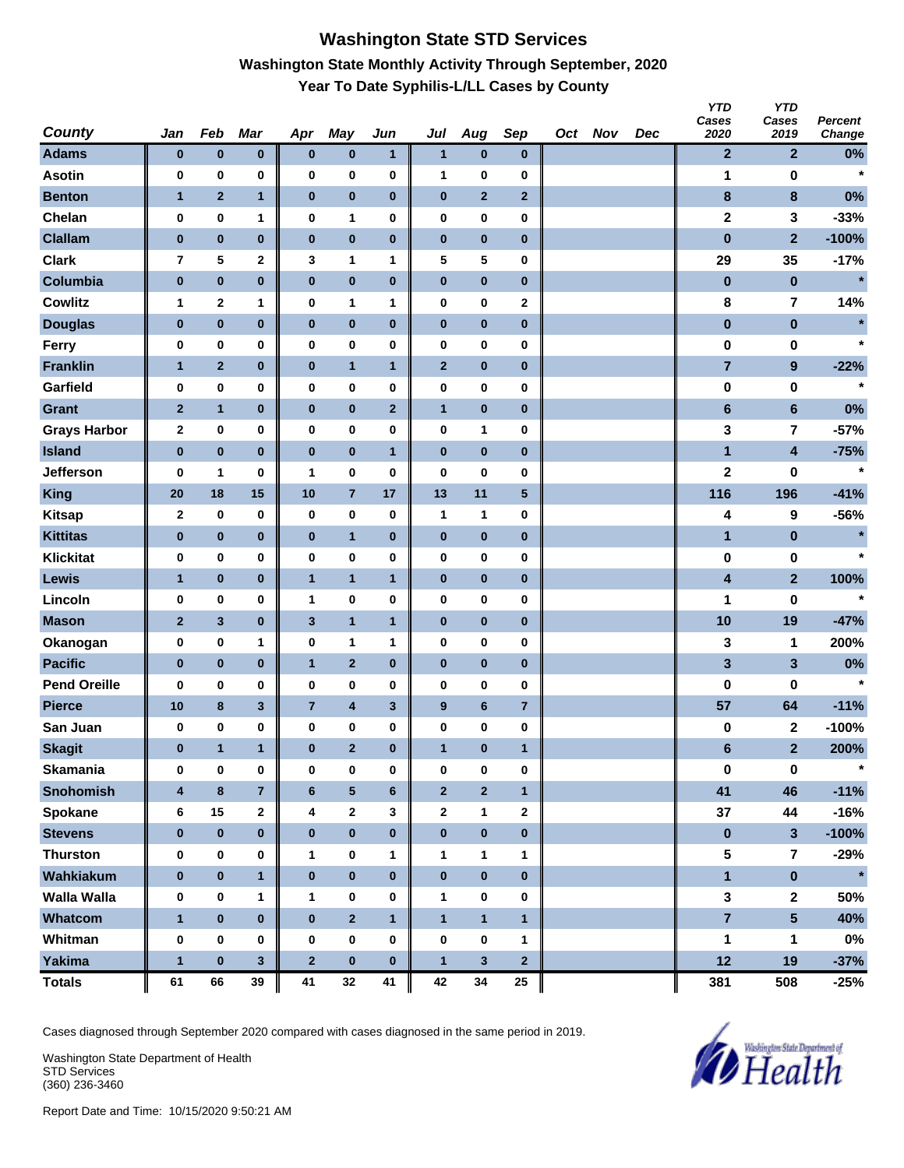# **Washington State STD Services Washington State Monthly Activity Through September, 2020 Year To Date Syphilis-L/LL Cases by County**

| <b>County</b>       | Jan              | Feb          | Mar            | Apr            | <b>May</b>              | Jun          | Jul              | Aug                     | Sep            | Oct Nov | Dec | <b>YTD</b><br>Cases<br>2020 | <b>YTD</b><br>Cases<br>2019 | Percent<br>Change |
|---------------------|------------------|--------------|----------------|----------------|-------------------------|--------------|------------------|-------------------------|----------------|---------|-----|-----------------------------|-----------------------------|-------------------|
| <b>Adams</b>        | $\bf{0}$         | $\pmb{0}$    | $\pmb{0}$      | $\bf{0}$       | $\pmb{0}$               | 1            | $\mathbf{1}$     | $\bf{0}$                | $\bf{0}$       |         |     | $\mathbf{2}$                | $\overline{2}$              | $0\%$             |
| <b>Asotin</b>       | 0                | 0            | 0              | $\bf{0}$       | 0                       | 0            | 1                | 0                       | 0              |         |     | 1                           | 0                           | $\star$           |
| <b>Benton</b>       | 1                | $\mathbf 2$  | $\mathbf{1}$   | $\pmb{0}$      | $\pmb{0}$               | 0            | $\pmb{0}$        | $\mathbf{2}$            | $\mathbf{2}$   |         |     | $\bf8$                      | $\bf8$                      | 0%                |
| Chelan              | 0                | $\pmb{0}$    | 1              | $\bf{0}$       | 1                       | 0            | $\pmb{0}$        | 0                       | 0              |         |     | $\mathbf 2$                 | 3                           | $-33%$            |
| <b>Clallam</b>      | $\pmb{0}$        | $\pmb{0}$    | $\pmb{0}$      | $\pmb{0}$      | $\pmb{0}$               | $\bf{0}$     | $\pmb{0}$        | $\pmb{0}$               | $\bf{0}$       |         |     | $\pmb{0}$                   | $\overline{2}$              | $-100%$           |
| <b>Clark</b>        | 7                | 5            | 2              | 3              | 1                       | 1            | 5                | 5                       | 0              |         |     | 29                          | 35                          | $-17%$            |
| Columbia            | $\pmb{0}$        | $\pmb{0}$    | $\pmb{0}$      | $\pmb{0}$      | $\pmb{0}$               | $\pmb{0}$    | $\pmb{0}$        | $\pmb{0}$               | $\bf{0}$       |         |     | $\pmb{0}$                   | $\bf{0}$                    | $\star$           |
| <b>Cowlitz</b>      | $\mathbf{1}$     | $\mathbf{2}$ | 1              | $\bf{0}$       | 1                       | 1            | $\pmb{0}$        | 0                       | $\mathbf 2$    |         |     | 8                           | 7                           | 14%               |
| <b>Douglas</b>      | $\bf{0}$         | $\pmb{0}$    | $\pmb{0}$      | $\pmb{0}$      | $\pmb{0}$               | $\bf{0}$     | $\pmb{0}$        | $\bf{0}$                | $\pmb{0}$      |         |     | $\pmb{0}$                   | $\pmb{0}$                   | $\star$           |
| Ferry               | 0                | $\pmb{0}$    | 0              | $\bf{0}$       | 0                       | 0            | $\pmb{0}$        | 0                       | $\bf{0}$       |         |     | 0                           | 0                           | $\star$           |
| <b>Franklin</b>     | $\mathbf{1}$     | $\mathbf{2}$ | $\pmb{0}$      | $\bf{0}$       | $\mathbf{1}$            | $\mathbf{1}$ | $\mathbf{2}$     | $\bf{0}$                | $\pmb{0}$      |         |     | $\overline{7}$              | $\boldsymbol{9}$            | $-22%$            |
| Garfield            | 0                | $\pmb{0}$    | 0              | 0              | 0                       | 0            | 0                | 0                       | $\bf{0}$       |         |     | $\bf{0}$                    | 0                           | $\star$           |
| <b>Grant</b>        | $\mathbf{2}$     | $\mathbf{1}$ | $\pmb{0}$      | $\pmb{0}$      | $\pmb{0}$               | $\mathbf{2}$ | $\mathbf{1}$     | $\bf{0}$                | $\pmb{0}$      |         |     | $6\phantom{1}$              | $6\phantom{a}$              | 0%                |
| <b>Grays Harbor</b> | $\boldsymbol{2}$ | $\pmb{0}$    | 0              | $\bf{0}$       | 0                       | 0            | 0                | 1                       | $\bf{0}$       |         |     | 3                           | $\overline{7}$              | $-57%$            |
| <b>Island</b>       | $\pmb{0}$        | $\pmb{0}$    | $\pmb{0}$      | $\pmb{0}$      | $\pmb{0}$               | $\mathbf{1}$ | $\pmb{0}$        | $\pmb{0}$               | $\bf{0}$       |         |     | 1                           | $\overline{\mathbf{4}}$     | $-75%$            |
| <b>Jefferson</b>    | 0                | 1            | 0              | 1              | 0                       | 0            | 0                | 0                       | 0              |         |     | $\mathbf 2$                 | 0                           | $\star$           |
| <b>King</b>         | 20               | 18           | 15             | 10             | $\overline{7}$          | 17           | 13               | 11                      | 5              |         |     | 116                         | 196                         | $-41%$            |
| <b>Kitsap</b>       | $\mathbf 2$      | 0            | 0              | 0              | 0                       | 0            | $\mathbf{1}$     | 1                       | $\bf{0}$       |         |     | 4                           | 9                           | -56%              |
| <b>Kittitas</b>     | 0                | $\bf{0}$     | $\pmb{0}$      | $\bf{0}$       | $\mathbf{1}$            | $\bf{0}$     | $\pmb{0}$        | $\bf{0}$                | $\pmb{0}$      |         |     | 1                           | $\bf{0}$                    | $\star$           |
| <b>Klickitat</b>    | 0                | $\pmb{0}$    | 0              | 0              | 0                       | 0            | $\pmb{0}$        | 0                       | $\bf{0}$       |         |     | $\pmb{0}$                   | 0                           | $\star$           |
| <b>Lewis</b>        | $\mathbf{1}$     | $\pmb{0}$    | $\pmb{0}$      | $\mathbf{1}$   | $\mathbf{1}$            | $\mathbf{1}$ | $\pmb{0}$        | $\bf{0}$                | $\pmb{0}$      |         |     | 4                           | $\mathbf{2}$                | 100%              |
| Lincoln             | 0                | $\pmb{0}$    | 0              | $\mathbf{1}$   | 0                       | 0            | $\pmb{0}$        | 0                       | $\bf{0}$       |         |     | 1                           | $\bf{0}$                    | $\star$           |
| <b>Mason</b>        | $\mathbf{2}$     | $\mathbf{3}$ | $\pmb{0}$      | $\mathbf{3}$   | $\mathbf{1}$            | $\mathbf{1}$ | $\pmb{0}$        | $\bf{0}$                | $\pmb{0}$      |         |     | 10                          | 19                          | $-47%$            |
| Okanogan            | $\mathbf 0$      | $\pmb{0}$    | 1              | $\mathbf 0$    | 1                       | 1            | 0                | 0                       | $\bf{0}$       |         |     | 3                           | 1                           | 200%              |
| <b>Pacific</b>      | $\pmb{0}$        | $\pmb{0}$    | $\pmb{0}$      | $\mathbf{1}$   | $\mathbf 2$             | $\bf{0}$     | $\pmb{0}$        | $\pmb{0}$               | $\bf{0}$       |         |     | 3                           | $\mathbf{3}$                | 0%                |
| <b>Pend Oreille</b> | 0                | 0            | 0              | 0              | 0                       | 0            | 0                | 0                       | 0              |         |     | 0                           | 0                           | $\star$           |
| <b>Pierce</b>       | 10               | $\bf8$       | $\mathbf{3}$   | $\overline{7}$ | $\overline{\mathbf{4}}$ | 3            | $\boldsymbol{9}$ | 6                       | $\overline{7}$ |         |     | 57                          | 64                          | $-11%$            |
| San Juan            | 0                | 0            | 0              | 0              | 0                       | 0            | $\pmb{0}$        | 0                       | 0              |         |     | 0                           | 2                           | $-100%$           |
| <b>Skagit</b>       | 0                | $\mathbf{1}$ | 1              | $\bf{0}$       | $\mathbf{2}$            | $\bf{0}$     | $\mathbf{1}$     | $\bf{0}$                | 1              |         |     | $6\phantom{1}$              | $\overline{\mathbf{2}}$     | 200%              |
| <b>Skamania</b>     | $\bf{0}$         | $\mathbf 0$  | 0              | $\bf{0}$       | 0                       | 0            | $\bf{0}$         | 0                       | $\pmb{0}$      |         |     | $\pmb{0}$                   | $\pmb{0}$                   | $\ast$            |
| <b>Snohomish</b>    | $\boldsymbol{4}$ | $\pmb{8}$    | $\overline{7}$ | $6\phantom{1}$ | $\overline{\mathbf{5}}$ | 6            | $\mathbf 2$      | $\overline{\mathbf{2}}$ | $\mathbf{1}$   |         |     | 41                          | 46                          | $-11%$            |
| <b>Spokane</b>      | 6                | 15           | $\mathbf 2$    | 4              | $\mathbf{2}$            | 3            | $\mathbf{2}$     | $\mathbf{1}$            | $\mathbf{2}$   |         |     | 37                          | 44                          | $-16%$            |
| <b>Stevens</b>      | $\bf{0}$         | $\pmb{0}$    | $\bf{0}$       | $\bf{0}$       | $\pmb{0}$               | $\bf{0}$     | $\pmb{0}$        | $\pmb{0}$               | $\bf{0}$       |         |     | $\pmb{0}$                   | $\mathbf{3}$                | $-100%$           |
| <b>Thurston</b>     | $\pmb{0}$        | $\pmb{0}$    | 0              | $\mathbf{1}$   | 0                       | 1            | $\mathbf{1}$     | 1                       | $\mathbf{1}$   |         |     | 5                           | $\overline{7}$              | $-29%$            |
| Wahkiakum           | $\pmb{0}$        | $\pmb{0}$    | $\mathbf{1}$   | $\pmb{0}$      | $\pmb{0}$               | $\pmb{0}$    | $\pmb{0}$        | $\pmb{0}$               | $\pmb{0}$      |         |     | $\overline{\mathbf{1}}$     | $\pmb{0}$                   | $\star$           |
| <b>Walla Walla</b>  | 0                | 0            | 1              | $\mathbf{1}$   | 0                       | 0            | $\mathbf{1}$     | 0                       | 0              |         |     | $\mathbf{3}$                | $\mathbf{2}$                | 50%               |
| Whatcom             | $\mathbf{1}$     | $\pmb{0}$    | $\bf{0}$       | $\pmb{0}$      | $\overline{2}$          | $\mathbf{1}$ | $\mathbf{1}$     | $\mathbf{1}$            | $\mathbf{1}$   |         |     | $\overline{7}$              | $5\phantom{a}$              | 40%               |
| Whitman             | $\pmb{0}$        | $\pmb{0}$    | 0              | $\bf{0}$       | 0                       | 0            | $\pmb{0}$        | 0                       | $\mathbf{1}$   |         |     | 1                           | 1                           | $0\%$             |
| <b>Yakima</b>       | $\mathbf{1}$     | $\pmb{0}$    | $\mathbf{3}$   | $\bf{2}$       | $\pmb{0}$               | $\bf{0}$     | $\mathbf{1}$     | $\mathbf{3}$            | $\mathbf{2}$   |         |     | 12                          | 19                          | $-37%$            |
| <b>Totals</b>       | 61               | 66           | 39             | 41             | 32                      | 41           | 42               | 34                      | 25             |         |     | 381                         | 508                         | $-25%$            |

Cases diagnosed through September 2020 compared with cases diagnosed in the same period in 2019.

Washington State Department of Health STD Services (360) 236-3460